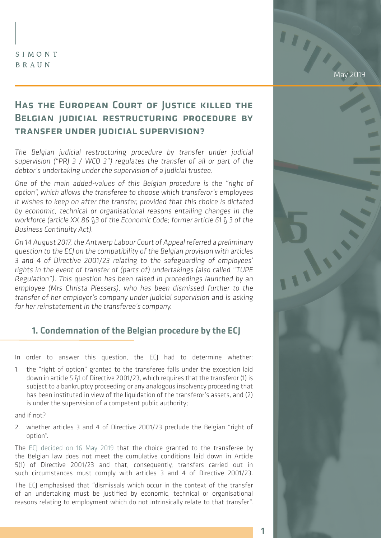#### SIMONT BRAUN

May 2019

# Has the European Court of Justice killed the Belgian judicial restructuring procedure by transfer under judicial supervision?

The Belgian judicial restructuring procedure by transfer under judicial supervision ("PRJ 3 / WCO 3") regulates the transfer of all or part of the debtor's undertaking under the supervision of a judicial trustee.

One of the main added-values of this Belgian procedure is the "right of option", which allows the transferee to choose which transferor's employees it wishes to keep on after the transfer, provided that this choice is dictated by economic, technical or organisational reasons entailing changes in the workforce (article XX.86 §3 of the Economic Code; former article 61 § 3 of the Business Continuity Act).

On 14 August 2017, the Antwerp Labour Court of Appeal referred a preliminary question to the ECJ on the compatibility of the Belgian provision with articles 3 and 4 of Directive 2001/23 relating to the safeguarding of employees' rights in the event of transfer of (parts of) undertakings (also called "TUPE Regulation"). This question has been raised in proceedings launched by an employee (Mrs Christa Plessers), who has been dismissed further to the transfer of her employer's company under judicial supervision and is asking for her reinstatement in the transferee's company.

## 1. Condemnation of the Belgian procedure by the ECJ

In order to answer this question, the ECJ had to determine whether:

1. the "right of option" granted to the transferee falls under the exception laid down in article 5 §1 of Directive 2001/23, which requires that the transferor (1) is subject to a bankruptcy proceeding or any analogous insolvency proceeding that has been instituted in view of the liquidation of the transferor's assets, and (2) is under the supervision of a competent public authority;

and if not?

2. whether articles 3 and 4 of Directive 2001/23 preclude the Belgian "right of option".

The [ECJ decided on 16 May 2019](http://curia.europa.eu/juris/celex.jsf?celex=62017CJ0509&lang1=en&type=TXT&ancre=) that the choice granted to the transferee by the Belgian law does not meet the cumulative conditions laid down in Article 5(1) of Directive 2001/23 and that, consequently, transfers carried out in such circumstances must comply with articles 3 and 4 of Directive 2001/23.

The ECJ emphasised that "dismissals which occur in the context of the transfer of an undertaking must be justified by economic, technical or organisational reasons relating to employment which do not intrinsically relate to that transfer".